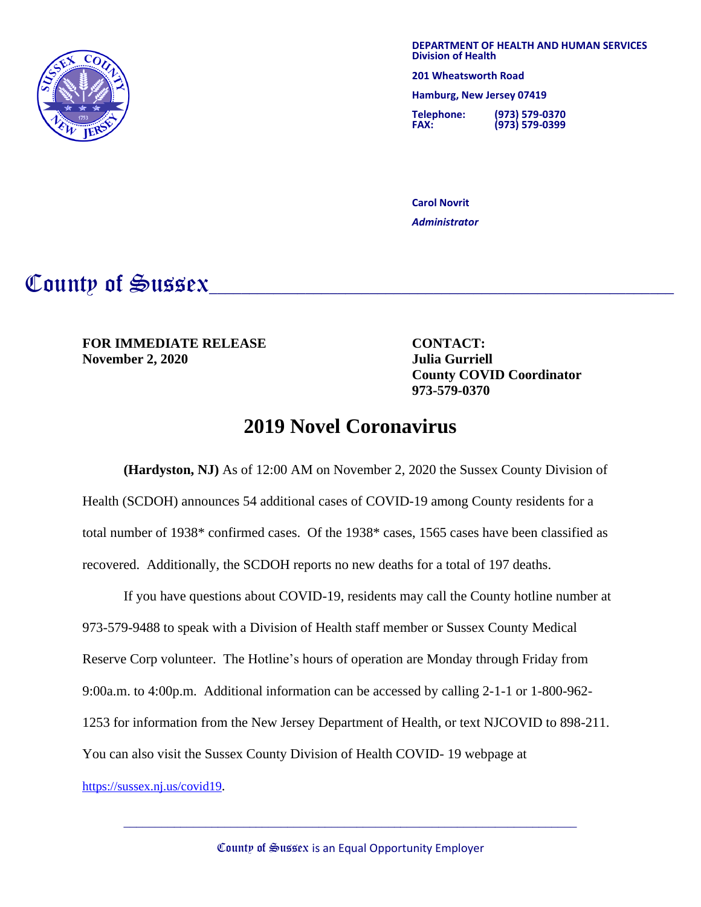

**DEPARTMENT OF HEALTH AND HUMAN SERVICES Division of Health**

**201 Wheatsworth Road**

 **Hamburg, New Jersey 07419**

**Telephone: (973) 579-0370 FAX: (973) 579-0399**

**Carol Novrit** *Administrator*

## County of Sussex

**FOR IMMEDIATE RELEASE CONTACT: November 2, 2020 Julia Gurriell**

**County COVID Coordinator 973-579-0370**

## **2019 Novel Coronavirus**

**(Hardyston, NJ)** As of 12:00 AM on November 2, 2020 the Sussex County Division of Health (SCDOH) announces 54 additional cases of COVID-19 among County residents for a total number of 1938\* confirmed cases. Of the 1938\* cases, 1565 cases have been classified as recovered. Additionally, the SCDOH reports no new deaths for a total of 197 deaths.

If you have questions about COVID-19, residents may call the County hotline number at 973-579-9488 to speak with a Division of Health staff member or Sussex County Medical Reserve Corp volunteer. The Hotline's hours of operation are Monday through Friday from 9:00a.m. to 4:00p.m. Additional information can be accessed by calling 2-1-1 or 1-800-962- 1253 for information from the New Jersey Department of Health, or text NJCOVID to 898-211. You can also visit the Sussex County Division of Health COVID- 19 webpage at

<https://sussex.nj.us/covid19>.

 $\_$  , and the set of the set of the set of the set of the set of the set of the set of the set of the set of the set of the set of the set of the set of the set of the set of the set of the set of the set of the set of th